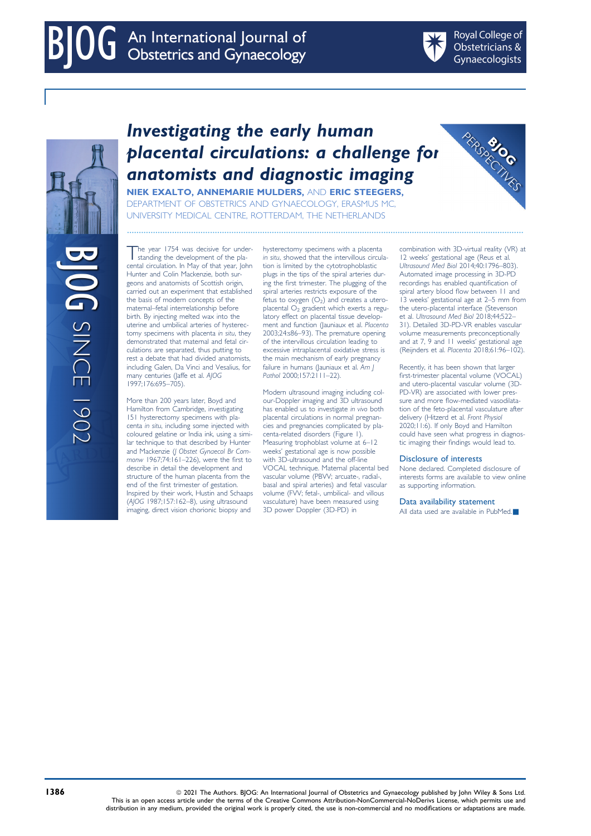**REAGE** 

# Investigating the early human placental circulations: a challenge for anatomists and diagnostic imaging

NIEK EXALTO, ANNEMARIE MULDERS, AND ERIC STEEGERS, DEPARTMENT OF OBSTETRICS AND GYNAECOLOGY, ERASMUS MC, UNIVERSITY MEDICAL CENTRE, ROTTERDAM, THE NETHERLANDS

....................................................................................................................................................................... combination with 3D-virtual reality (VR) at 12 weeks' gestational age (Reus et al. Ultrasound Med Biol 2014;40:1796–803). Automated image processing in 3D-PD recordings has enabled quantification of spiral artery blood flow between 11 and 13 weeks' gestational age at 2–5 mm from the utero-placental interface (Stevenson et al. Ultrasound Med Biol 2018;44;522– 31). Detailed 3D-PD-VR enables vascular volume measurements preconceptionally and at 7, 9 and 11 weeks' gestational age (Reijnders et al. Placenta 2018;61:96–102).

> Recently, it has been shown that larger first-trimester placental volume (VOCAL) and utero-placental vascular volume (3D-PD-VR) are associated with lower pressure and more flow-mediated vasodilatation of the feto-placental vasculature after delivery (Hitzerd et al. Front Physiol 2020;11:6). If only Boyd and Hamilton could have seen what progress in diagnostic imaging their findings would lead to.

### Disclosure of interests

None declared. Completed disclosure of interests forms are available to view online as supporting information.

### Data availability statement

All data used are available in PubMed

**DG** SINCE

The year 1754 was decisive for under-<br>standing the development of the placental circulation. In May of that year, John Hunter and Colin Mackenzie, both surgeons and anatomists of Scottish origin, carried out an experiment that established the basis of modern concepts of the maternal–fetal interrelationship before birth. By injecting melted wax into the uterine and umbilical arteries of hysterectomy specimens with placenta in situ, they demonstrated that maternal and fetal circulations are separated, thus putting to rest a debate that had divided anatomists, including Galen, Da Vinci and Vesalius, for many centuries (Jaffe et al. AJOG 1997;176:695–705).

More than 200 years later, Boyd and Hamilton from Cambridge, investigating 151 hysterectomy specimens with placenta in situ, including some injected with coloured gelatine or India ink, using a similar technique to that described by Hunter and Mackenzie (J Obstet Gynaecol Br Commonw 1967;74:161–226), were the first to describe in detail the development and structure of the human placenta from the end of the first trimester of gestation. Inspired by their work, Hustin and Schaaps (AJOG 1987;157:162–8), using ultrasound imaging, direct vision chorionic biopsy and

in situ, showed that the intervillous circulation is limited by the cytotrophoblastic plugs in the tips of the spiral arteries during the first trimester. The plugging of the spiral arteries restricts exposure of the fetus to oxygen  $(O_2)$  and creates a uteroplacental  $O_2$  gradient which exerts a regulatory effect on placental tissue development and function (Jauniaux et al. Placenta 2003;24:s86–93). The premature opening of the intervillous circulation leading to excessive intraplacental oxidative stress is the main mechanism of early pregnancy failure in humans (Jauniaux et al. Am J Pathol 2000;157:2111-22).

hysterectomy specimens with a placenta

Modern ultrasound imaging including colour-Doppler imaging and 3D ultrasound has enabled us to investigate in vivo both placental circulations in normal pregnancies and pregnancies complicated by placenta-related disorders (Figure 1). Measuring trophoblast volume at 6-12 weeks' gestational age is now possible with 3D-ultrasound and the off-line VOCAL technique. Maternal placental bed vascular volume (PBVV; arcuate-, radial-, basal and spiral arteries) and fetal vascular volume (FVV; fetal-, umbilical- and villous vasculature) have been measured using 3D power Doppler (3D-PD) in